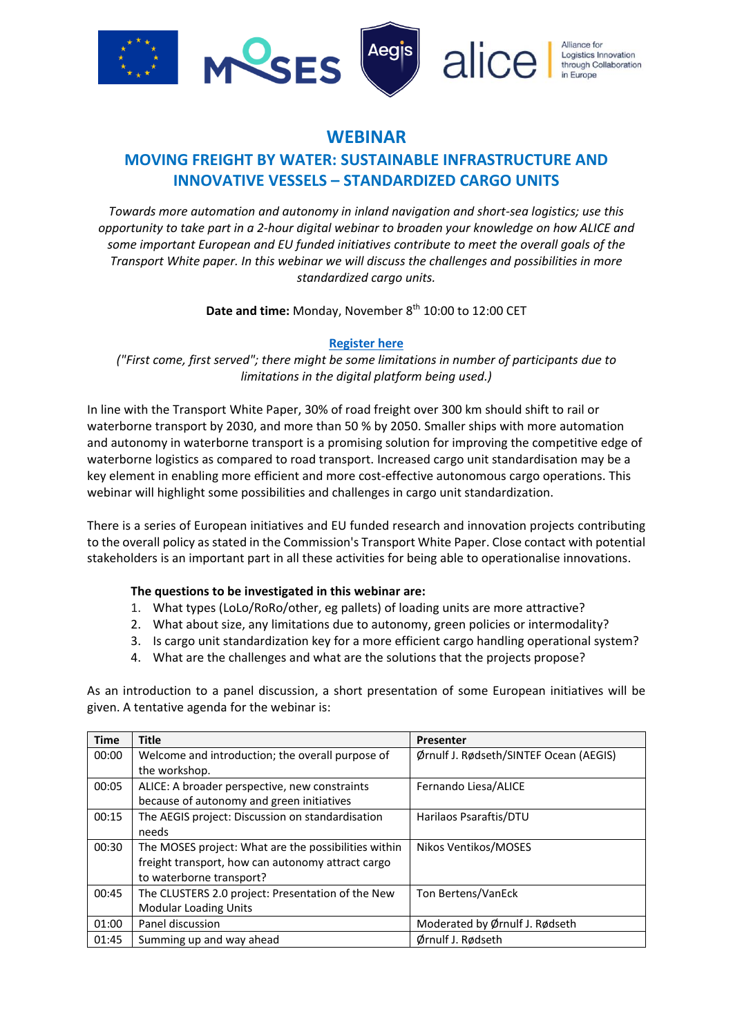

### **WEBINAR**

## **MOVING FREIGHT BY WATER: SUSTAINABLE INFRASTRUCTURE AND INNOVATIVE VESSELS – STANDARDIZED CARGO UNITS**

*Towards more automation and autonomy in inland navigation and short-sea logistics; use this opportunity to take part in a 2-hour digital webinar to broaden your knowledge on how ALICE and some important European and EU funded initiatives contribute to meet the overall goals of the Transport White paper. In this webinar we will discuss the challenges and possibilities in more standardized cargo units.*

Date and time: Monday, November 8<sup>th</sup> 10:00 to 12:00 CET

#### **[Register here](https://events.provisoevent.no/sintefocean/events/webinar/register?templateId=396ce8c1-7dd2-452a-849e-4c729ac0675e)**

*("First come, first served"; there might be some limitations in number of participants due to limitations in the digital platform being used.)*

In line with the Transport White Paper, 30% of road freight over 300 km should shift to rail or waterborne transport by 2030, and more than 50 % by 2050. Smaller ships with more automation and autonomy in waterborne transport is a promising solution for improving the competitive edge of waterborne logistics as compared to road transport. Increased cargo unit standardisation may be a key element in enabling more efficient and more cost-effective autonomous cargo operations. This webinar will highlight some possibilities and challenges in cargo unit standardization.

There is a series of European initiatives and EU funded research and innovation projects contributing to the overall policy as stated in the Commission's Transport White Paper. Close contact with potential stakeholders is an important part in all these activities for being able to operationalise innovations.

#### **The questions to be investigated in this webinar are:**

- 1. What types (LoLo/RoRo/other, eg pallets) of loading units are more attractive?
- 2. What about size, any limitations due to autonomy, green policies or intermodality?
- 3. Is cargo unit standardization key for a more efficient cargo handling operational system?
- 4. What are the challenges and what are the solutions that the projects propose?

As an introduction to a panel discussion, a short presentation of some European initiatives will be given. A tentative agenda for the webinar is:

| <b>Time</b> | <b>Title</b>                                         | <b>Presenter</b>                       |
|-------------|------------------------------------------------------|----------------------------------------|
| 00:00       | Welcome and introduction; the overall purpose of     | Ørnulf J. Rødseth/SINTEF Ocean (AEGIS) |
|             | the workshop.                                        |                                        |
| 00:05       | ALICE: A broader perspective, new constraints        | Fernando Liesa/ALICE                   |
|             | because of autonomy and green initiatives            |                                        |
| 00:15       | The AEGIS project: Discussion on standardisation     | Harilaos Psaraftis/DTU                 |
|             | needs                                                |                                        |
| 00:30       | The MOSES project: What are the possibilities within | Nikos Ventikos/MOSES                   |
|             | freight transport, how can autonomy attract cargo    |                                        |
|             | to waterborne transport?                             |                                        |
| 00:45       | The CLUSTERS 2.0 project: Presentation of the New    | Ton Bertens/VanEck                     |
|             | <b>Modular Loading Units</b>                         |                                        |
| 01:00       | Panel discussion                                     | Moderated by Ørnulf J. Rødseth         |
| 01:45       | Summing up and way ahead                             | Ørnulf J. Rødseth                      |